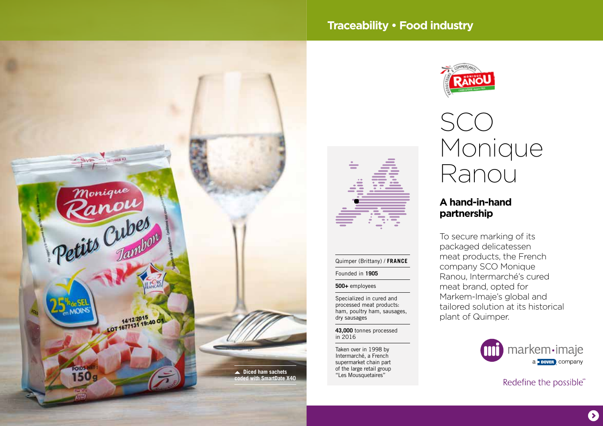

# **Traceability • Food industry**

Quimper (Brittany) / **FRANCE**

Specialized in cured and processed meat products: ham, poultry ham, sausages,

**43,000** tonnes processed

Taken over in 1998 by Intermarché, a French supermarket chain part of the large retail group

Founded in **1905 500+** employees

dry sausages

in 2016





## **A hand-in-hand partnership**

To secure marking of its packaged delicatessen meat products, the French company SCO Monique Ranou, Intermarché's cured meat brand, opted for Markem-Imaje's global and tailored solution at its historical plant of Quimper.

> markem·imaje a **DOVER** COMPANY

> > Redefine the possible®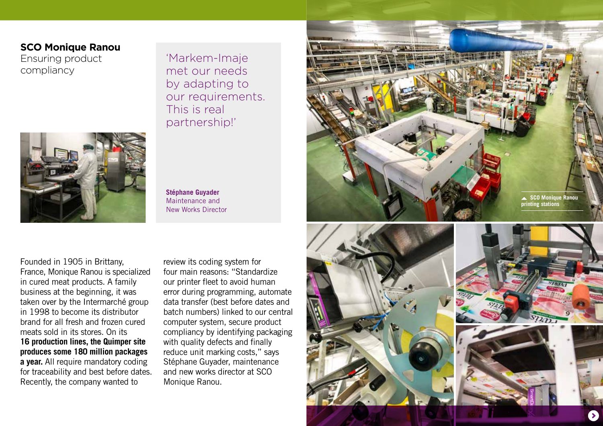## **SCO Monique Ranou**

Ensuring product compliancy

'Markem-Imaje met our needs by adapting to our requirements. This is real partnership!'



**Stéphane Guyader** Maintenance and New Works Director

Founded in 1905 in Brittany, France, Monique Ranou is specialized in cured meat products. A family business at the beginning, it was taken over by the Intermarché group in 1998 to become its distributor brand for all fresh and frozen cured meats sold in its stores. On its **16 production lines, the Quimper site produces some 180 million packages a year.** All require mandatory coding for traceability and best before dates. Recently, the company wanted to

review its coding system for four main reasons: "Standardize our printer fleet to avoid human error during programming, automate data transfer (best before dates and batch numbers) linked to our central computer system, secure product compliancy by identifying packaging with quality defects and finally reduce unit marking costs," says Stéphane Guyader, maintenance and new works director at SCO Monique Ranou.